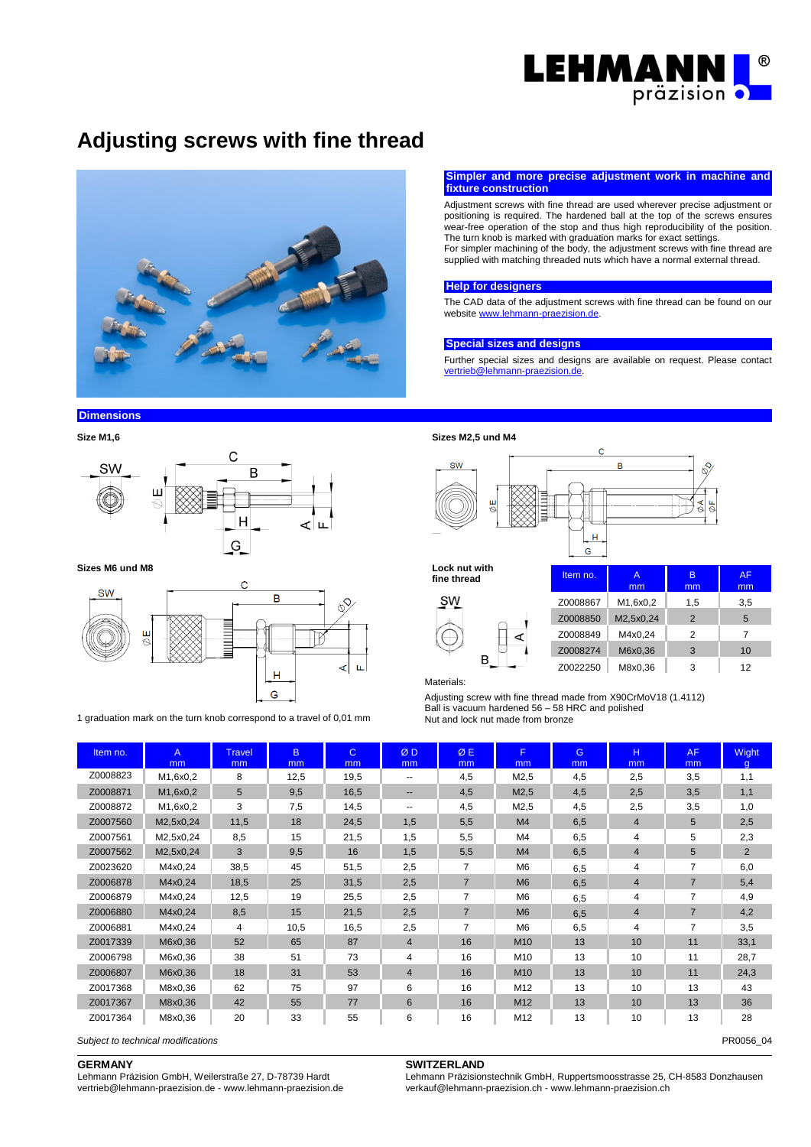

# **Adjusting screws with fine thread**



## **Simpler and more precise adjustment work in machine and fixture construction**

Adjustment screws with fine thread are used wherever precise adjustment or positioning is required. The hardened ball at the top of the screws ensures wear-free operation of the stop and thus high reproducibility of the position. The turn knob is marked with graduation marks for exact settings. For simpler machining of the body, the adjustment screws with fine thread are supplied with matching threaded nuts which have a normal external thread.

#### **Help for designers**

The CAD data of the adjustment screws with fine thread can be found on our websit[e www.lehmann-praezision.de.](http://www.lehmann-praezision.de/)

#### **Special sizes and designs**

Further special sizes and designs are available on request. Please contact [vertrieb@lehmann-praezision.de.](mailto:vertrieb@lehmann-praezision.de) 

## **Dimensions**





**Sizes M6 und M8 Lock nut with**



1 graduation mark on the turn knob correspond to a travel of 0,01 mm





fine thread



| Item no. | A<br>mm   | в<br>mm        | AF<br>mm |  |
|----------|-----------|----------------|----------|--|
| Z0008867 | M1,6x0,2  | 1.5            | 3,5      |  |
| Z0008850 | M2,5x0,24 | $\overline{2}$ | 5        |  |
| Z0008849 | M4x0.24   | 2              | 7        |  |
| Z0008274 | M6x0,36   | 3              | 10       |  |
| Z0022250 | M8x0.36   | 3              | 12       |  |

**Materials:** 

Adjusting screw with fine thread made from X90CrMoV18 (1.4112) Ball is vacuum hardened 56 – 58 HRC and polished<br>Nut and lock nut made from bronze

| Item no. | $\mathsf{A}$<br>mm | <b>Travel</b><br>mm | B.<br>m <sub>m</sub> | $\mathsf{C}$<br>m <sub>m</sub> | ØD<br>mm                 | ØE<br>mm       | F.<br>mm        | G<br>mm | H<br>mm        | AF.<br>mm      | Wight<br>$\alpha$ |
|----------|--------------------|---------------------|----------------------|--------------------------------|--------------------------|----------------|-----------------|---------|----------------|----------------|-------------------|
| Z0008823 | M1,6x0,2           | 8                   | 12,5                 | 19,5                           | $\overline{\phantom{a}}$ | 4,5            | M2,5            | 4,5     | 2,5            | 3,5            | 1,1               |
| Z0008871 | M1,6x0,2           | 5                   | 9,5                  | 16,5                           | $\qquad \qquad \cdots$   | 4,5            | M2,5            | 4,5     | 2,5            | 3,5            | 1,1               |
| Z0008872 | M1,6x0,2           | 3                   | 7,5                  | 14,5                           | $\overline{\phantom{a}}$ | 4,5            | M2,5            | 4,5     | 2,5            | 3,5            | 1,0               |
| Z0007560 | M2,5x0,24          | 11,5                | 18                   | 24,5                           | 1,5                      | 5,5            | M <sub>4</sub>  | 6,5     | $\overline{4}$ | 5              | 2,5               |
| Z0007561 | M2,5x0,24          | 8,5                 | 15                   | 21,5                           | 1,5                      | 5,5            | M <sub>4</sub>  | 6,5     | 4              | 5              | 2,3               |
| Z0007562 | M2,5x0,24          | 3                   | 9,5                  | 16                             | 1,5                      | 5,5            | M4              | 6,5     | $\overline{4}$ | 5              | 2                 |
| Z0023620 | M4x0,24            | 38,5                | 45                   | 51,5                           | 2,5                      | $\overline{7}$ | M <sub>6</sub>  | 6,5     | 4              | 7              | 6,0               |
| Z0006878 | M4x0,24            | 18,5                | 25                   | 31,5                           | 2,5                      | $\overline{7}$ | M <sub>6</sub>  | 6.5     | 4              | $\overline{7}$ | 5,4               |
| Z0006879 | M4x0,24            | 12,5                | 19                   | 25,5                           | 2,5                      | $\overline{7}$ | M6              | 6,5     | 4              | 7              | 4,9               |
| Z0006880 | M4x0,24            | 8,5                 | 15                   | 21,5                           | 2,5                      | $\overline{7}$ | M <sub>6</sub>  | 6.5     | 4              | $\overline{7}$ | 4,2               |
| Z0006881 | M4x0,24            | 4                   | 10,5                 | 16,5                           | 2,5                      | $\overline{7}$ | M <sub>6</sub>  | 6,5     | 4              | $\overline{7}$ | 3,5               |
| Z0017339 | M6x0,36            | 52                  | 65                   | 87                             | $\overline{4}$           | 16             | M <sub>10</sub> | 13      | 10             | 11             | 33,1              |
| Z0006798 | M6x0,36            | 38                  | 51                   | 73                             | 4                        | 16             | M10             | 13      | 10             | 11             | 28,7              |
| Z0006807 | M6x0,36            | 18                  | 31                   | 53                             | $\overline{4}$           | 16             | M <sub>10</sub> | 13      | 10             | 11             | 24,3              |
| Z0017368 | M8x0,36            | 62                  | 75                   | 97                             | 6                        | 16             | M12             | 13      | 10             | 13             | 43                |
| Z0017367 | M8x0,36            | 42                  | 55                   | 77                             | 6                        | 16             | M <sub>12</sub> | 13      | 10             | 13             | 36                |
| Z0017364 | M8x0,36            | 20                  | 33                   | 55                             | 6                        | 16             | M12             | 13      | 10             | 13             | 28                |

*Subject to technical modifications* PR0056\_04

# **GERMANY**

Lehmann Präzision GmbH, Weilerstraße 27, D-78739 Hardt vertrieb@lehmann-praezision.de - www.lehmann-praezision.de

## **SWITZERLAND**

Lehmann Präzisionstechnik GmbH, Ruppertsmoosstrasse 25, CH-8583 Donzhausen verkauf@lehmann-praezision.ch - www.lehmann-praezision.ch